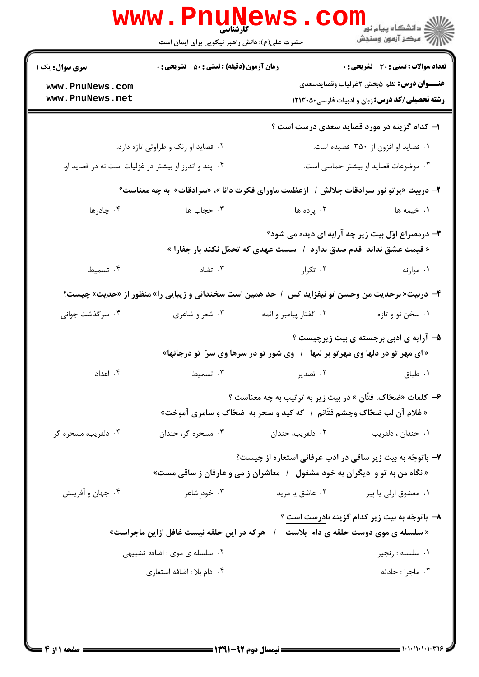|                        | <b>WWW.FNUNE</b><br><b>کارشناسی</b><br>حضرت علی(ع): دانش راهبر نیکویی برای ایمان است            |                        | الاد دانشگاه پيام نور<br>الا دانشگاه پيام نور<br>الا        |
|------------------------|-------------------------------------------------------------------------------------------------|------------------------|-------------------------------------------------------------|
| <b>سری سوال :</b> یک ۱ | <b>زمان آزمون (دقیقه) : تستی : 50 ٪ تشریحی : 0</b>                                              |                        | <b>تعداد سوالات : تستی : 30 ٪ تشریحی : 0</b>                |
| www.PnuNews.com        |                                                                                                 |                        | <b>عنـــوان درس:</b> نظم ۵بخش ۲غزلیات وقصایدسعدی            |
| www.PnuNews.net        |                                                                                                 |                        | <b>رشته تحصیلی/کد درس: زبان و ادبیات فارسی40.1213</b>       |
|                        |                                                                                                 |                        | ۱– کدام گزینه در مورد قصاید سعدی درست است ؟                 |
|                        | ۰۲ قصاید او رنگ و طراوتی تازه دارد.                                                             |                        | ۰۱ قصاید او افزون از ۳۵۰ قصیده است.                         |
|                        | ۰۴ پند و اندرز او بیشتر در غزلیات است نه در قصاید او.                                           |                        | ۰۳ موضوعات قصاید او بیشتر حماسی است.                        |
|                        | ۲- دربیت «پرتو نور سرادقات جلالش /  ازعظمت ماورای فکرت دانا »، «سرادقات» به چه معناست؟          |                        |                                                             |
| ۰۴ چادرها              | ۰۳ حجاب ها                                                                                      | ۰۲ پرده ها             | ١. خيمه ها                                                  |
|                        | « قیمت عشق نداند  قدم صدق ندارد  /   سست عهدی که تحمّل نکند بار جفارا »                         |                        | ۳- درمصراع اوّل بیت زیر چه آرایه ای دیده می شود؟            |
| ۰۴ تسمیط               | ۰۳ تضاد                                                                                         | ۰۲ تکرار               | ۰۱ موازنه                                                   |
|                        | ۴- دربیت« برحدیث من وحسن تو نیفزاید کس ۱ حد همین است سخندانی و زیبایی را» منظور از «حدیث» چیست؟ |                        |                                                             |
| ۰۴ سرگذشت جوانی        | ۰۳ شعر و شاعري                                                                                  | ۰۲ گفتار پیامبر و ائمه | ۰۱ سخن نو و تازه                                            |
|                        | « ای مهر تو در دلها وی مهرتو بر لبها ۱ وی شور تو در سرها وی سرّ تو درجانها»                     |                        | ۵– آرایه ی ادبی برجسته ی بیت زیرچیست ؟                      |
| ۰۴ اعداد               | ۰۳ تسمیط $\cdot$                                                                                | ۲. تصدیر               | ۰۱ طباق                                                     |
|                        | « غلام آن لب ضحّاک وچشم فتّانم ۱ که کید و سحر به  ضحّاک و سامری آموخت»                          |                        | ۶– کلمات «ضحّاک، فتّان » در بیت زیر به ترتیب به چه معناست ؟ |
| ۰۴ دلفریب، مسخره گر    | ۰۳ مسخره گر، خندان                                                                              | ۰۲ دلفريب، خندان       | ۰۱ خندان ، دلفريب                                           |
|                        | « نگاه من به تو و  دیگران به خود مشغول   /   معاشران ز می و عارفان ز ساقی مست»                  |                        | ۷- باتوجّه به بیت زیر ساقی در ادب عرفانی استعاره از چیست؟   |
| ۰۴ جهان و آفرینش       | ۰۳ خود شاعر                                                                                     | ۰۲ عاشق یا مرید        | ۰۱ معشوق ازلي يا پير                                        |
|                        | « سلسله ی موی دوست حلقه ی دام  بلاست    /    هرکه در این حلقه نیست غافل ازاین ماجراست»          |                        | ۸– باتوجّه به بیت زیر کدام گزینه نادرست است ؟               |
|                        | ۰۲ سلسله ی موی : اضافه تشبیهی                                                                   |                        | ۰۱ سلسله : زنجير                                            |
|                        | ۰۴ دام بلا : اضافه استعارى                                                                      |                        | ۰۳ ماجرا : حادثه                                            |
|                        |                                                                                                 |                        |                                                             |

 $= 1.1.11.1.1.1$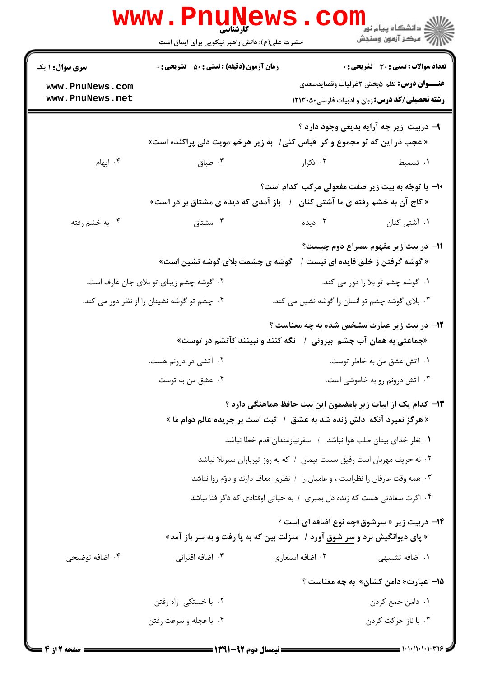|                                                              | www.PnuNews<br>حضرت علی(ع): دانش راهبر نیکویی برای ایمان است                 |                  | ر دانشڪاه پيام نور<br>ا∛ مرکز آزمون وسنڊش                                                                                                          |
|--------------------------------------------------------------|------------------------------------------------------------------------------|------------------|----------------------------------------------------------------------------------------------------------------------------------------------------|
| <b>سری سوال : ۱ یک</b><br>www.PnuNews.com<br>www.PnuNews.net | زمان آزمون (دقیقه) : تستی : 50 ٪ تشریحی : 0                                  |                  | تعداد سوالات : تستي : 30 ٪ تشريحي : 0<br><b>عنـــوان درس:</b> نظم ۵بخش ۲غزلیات وقصایدسعدی<br><b>رشته تحصیلی/کد درس: زبان و ادبیات فارسی45130 ا</b> |
|                                                              | « عجب در این که تو مجموع و گر  قیاس کنی/   به زیر هرخم مویت دلی پراکنده است» |                  | ۹- دربیت زیر چه آرایه بدیعی وجود دارد ؟                                                                                                            |
| ۰۴ ایهام                                                     | ۰۳ طباق                                                                      | ۰۲ تکرار         | ۰۱ تسمیط                                                                                                                                           |
|                                                              | « کاج آن به خشم رفته ی ما آشتی کنان ٪ باز آمدی که دیده ی مشتاق بر در است»    |                  | ۱۰- با توجّه به بیت زیر صفت مفعولی مرکب کدام است؟                                                                                                  |
| ۰۴ به خشم رفته                                               | ۰۳ مشتاق                                                                     | ۰۲ دیده          | ۰۱ آشتی کنان                                                                                                                                       |
|                                                              | « گوشه گرفتن ز خلق فایده ای نیست / گوشه ی چشمت بلای گوشه نشین است»           |                  | 11- در بیت زیر مفهوم مصراع دوم چیست؟                                                                                                               |
|                                                              | ۰۲ گوشه چشم زیبای تو بلای جان عارف است.                                      |                  | ۰۱ گوشه چشم تو بلا را دور می کند.                                                                                                                  |
|                                                              | ۰۴ چشم تو گوشه نشینان را از نظر دور می کند.                                  |                  | ۰۳ بلای گوشه چشم تو انسان را گوشه نشین می کند.                                                                                                     |
|                                                              | «جماعتی به همان آب چشم بیرونی ۱ گنگه کنند و نبینند کآتشم در توست»            |                  | <b>۱۲</b> - در بیت زیر عبارت مشخص شده به چه معناست ؟                                                                                               |
|                                                              | ۰۲ آتشی در درونم هست.                                                        |                  | ٠١ آتش عشق من به خاطر توست.                                                                                                                        |
|                                                              | ۰۴ عشق من به توست.                                                           |                  | ۰۳ آتش درونم رو به خاموشی است.                                                                                                                     |
|                                                              | « هرگز نمیرد آنکه دلش زنده شد به عشق ۱ ً ثبت است بر جریده عالم دوام ما »     |                  | ۱۳– کدام یک از ابیات زیر بامضمون این بیت حافظ هماهنگی دارد ؟                                                                                       |
|                                                              |                                                                              |                  | 1. نظر خدای بینان طلب هوا نباشد / سفرنیازمندان قدم خطا نباشد                                                                                       |
|                                                              | ٠٢ نه حريف مهربان است رفيق سست پيمان ١ كه به روز تيرباران سپربلا نباشد       |                  |                                                                                                                                                    |
|                                                              | ۰۳ همه وقت عارفان را نظراست ، و عامیان را ۱ نظری معاف دارند و دوّم روا نباشد |                  |                                                                                                                                                    |
|                                                              | ۰۴ اگرت سعادتی هست که زنده دل بمیری ۱ به حیاتی اوفتادی که دگر فنا نباشد      |                  |                                                                                                                                                    |
|                                                              | « پای دیوانگیش برد و سر شوق آورد /   منزلت بین که به پا رفت و به سر باز آمد» |                  | <b>۱۴</b> - دربیت زیر « سرشوق»چه نوع اضافه ای است ؟                                                                                                |
| ۰۴ اضافه توضیحی                                              | ۰۳ اضافه اقترانی                                                             | ۰۲ اضافه استعاری | ۰۱ اضافه تشبیهی                                                                                                                                    |
|                                                              |                                                                              |                  | 1 <b>۵</b> - عبارت« دامن کشان» به چه معناست ؟                                                                                                      |
|                                                              | ۰۲ با خستکی راه رفتن                                                         |                  | ۰۱ دامن جمع کردن                                                                                                                                   |
|                                                              | ۰۴ با عجله و سرعت رفتن                                                       |                  | ۰۳ با ناز حرکت کردن                                                                                                                                |
|                                                              |                                                                              |                  |                                                                                                                                                    |

 $= 1.1 \cdot 11.1 \cdot 11.1$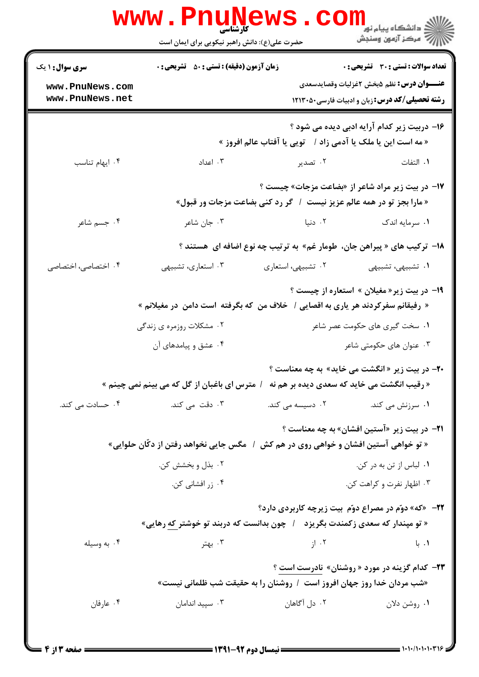|                                    | <b>www.PnuNews</b><br>حضرت علی(ع): دانش راهبر نیکویی برای ایمان است               |                    | ر دانشگاه پيام نور <mark>− .</mark><br>ارا⊄ مرکز آزمون وسنجش                                                   |
|------------------------------------|-----------------------------------------------------------------------------------|--------------------|----------------------------------------------------------------------------------------------------------------|
| <b>سری سوال : ۱ یک</b>             | <b>زمان آزمون (دقیقه) : تستی : 50 ٪ تشریحی : 0</b>                                |                    | تعداد سوالات : تستي : 30 - تشريحي : 0                                                                          |
| www.PnuNews.com<br>www.PnuNews.net |                                                                                   |                    | <b>عنـــوان درس:</b> نظم ۵بخش ۲غزلیات وقصایدسعدی<br><b>رشته تحصیلی/کد درس: زبان و ادبیات فارسی40130 1۲۱۳</b> ۰ |
|                                    |                                                                                   |                    | ۱۶– دربیت زیر کدام آرایه ادبی دیده می شود ؟<br>« مه است این یا ملک یا آدمی زاد /    تویی یا آفتاب عالم افروز » |
| ۰۴ ایهام تناسب                     | ۰۳ اعداد                                                                          | ۰۲ تصدیر           | ٠١. التفات                                                                                                     |
|                                    | « مارا بجز تو در همه عالم عزیز نیست / گر رد کنی بضاعت مزجات ور قبول»              |                    | ۱۷- در بیت زیر مراد شاعر از «بضاعت مزجات» چیست ؟                                                               |
| ۰۴ جسم شاعر                        | ۰۳ جان شاعر                                                                       | ۰۲ دنیا            | ۰۱ سرمایه اندک                                                                                                 |
|                                    |                                                                                   |                    | ۱۸–  ترکیب های « پیراهن جان،  طومار غم»  به ترتیب چه نوع اضافه ای  هستند ؟                                     |
| ۰۴ اختصاصی، اختصاصی                | ۰۳ استعاری، تشبیهی                                                                | ۰۲ تشبیهی، استعاری | ۰۱ تشبیهی، تشبیهی                                                                                              |
|                                    | « رفیقانم سفرکردند هر یاری به اقصایی /  خلاف من که بگرفته  است دامن  در مغیلانم » |                    | ۱۹- در بیت زیر« مغیلان » استعاره از چیست ؟                                                                     |
|                                    | ۲. مشکلات روزمره ی زندگی                                                          |                    | ۰۱ سخت گیری های حکومت عصر شاعر                                                                                 |
|                                    | ۰۴ عشق و پیامدهای آن                                                              |                    | ۰۳ عنوان های حکومتی شاعر                                                                                       |
|                                    | / مترس ای باغبان از گل که می بینم نمی چینم »                                      |                    | <b>۲۰-</b> در بیت زیر « انگشت می خاید» به چه معناست ؟<br>« رقیب انگشت می خاید که سعدی دیده بر هم نه            |
| ۰۴ حسادت می کند.                   | ۰۳ دقت می کند.                                                                    |                    | ۰۱ سرزنش می کند. <b>مسیسه می کند.</b> این مسیسه می کند.                                                        |
|                                    | /   مگس جایی نخواهد رفتن از دکّان حلوایی»                                         |                    | <b>۲۱</b> - در بیت زیر «آستین افشان» به چه معناست ؟<br>« تو خواهی آستین افشان و خواهی روی در هم کش             |
|                                    | ۰۲ بذل و بخشش کن.                                                                 |                    | ۰۱ لباس از تن به در کن.                                                                                        |
|                                    | ۰۴ زر افشانی کن.                                                                  |                    | ۰۳ اظهار نفرت و کراهت کن.                                                                                      |
|                                    |                                                                                   |                    | <b>۲۲</b> - «که» دوّم در مصراع دوّم بیت زیرچه کاربردی دارد؟                                                    |
|                                    | « تو مپندار که سعدی زکمندت بگریزد    /   چون بدانست که دربند تو خوشتر که رهایی»   |                    | ۰۱. با                                                                                                         |
| ۰۴ به وسیله                        | ۰۳ بهتر                                                                           | ۰۲ از              |                                                                                                                |
|                                    | «شب مردان خدا روز جهان افروز است ۱ روشنان را به حقیقت شب ظلمانی نیست»             |                    | <b>۲۳</b> - کدام گزینه در مورد « روشنان» نادرست است ؟                                                          |
| ۰۴ عارفان                          | ۰۳ سپید اندامان                                                                   | ۰۲ دل آگاهان       | ۰۱ روشن دلان                                                                                                   |
|                                    |                                                                                   |                    |                                                                                                                |

 $= 1.1 \cdot 11.1 \cdot 11.1$